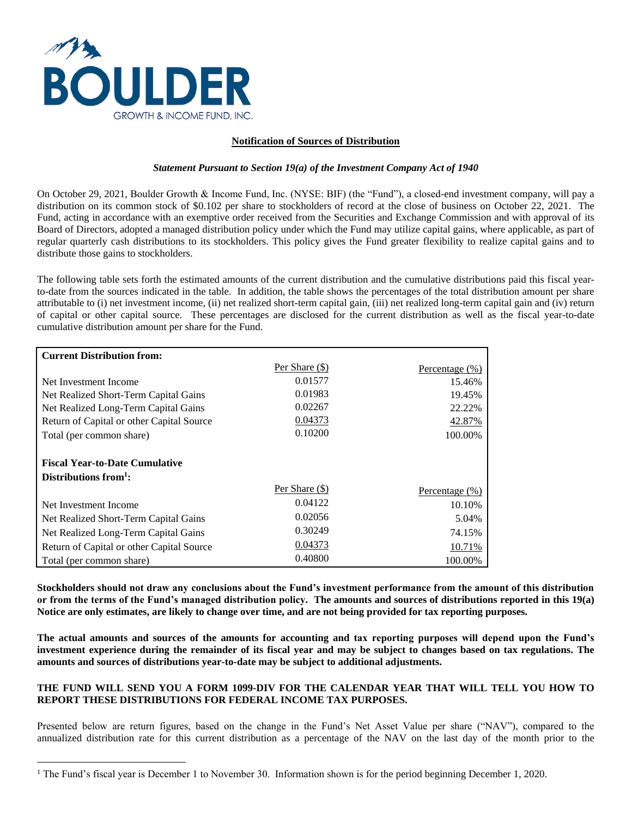

 $\overline{a}$ 

# **Notification of Sources of Distribution**

#### *Statement Pursuant to Section 19(a) of the Investment Company Act of 1940*

On October 29, 2021, Boulder Growth & Income Fund, Inc. (NYSE: BIF) (the "Fund"), a closed-end investment company, will pay a distribution on its common stock of \$0.102 per share to stockholders of record at the close of business on October 22, 2021. The Fund, acting in accordance with an exemptive order received from the Securities and Exchange Commission and with approval of its Board of Directors, adopted a managed distribution policy under which the Fund may utilize capital gains, where applicable, as part of regular quarterly cash distributions to its stockholders. This policy gives the Fund greater flexibility to realize capital gains and to distribute those gains to stockholders.

The following table sets forth the estimated amounts of the current distribution and the cumulative distributions paid this fiscal yearto-date from the sources indicated in the table. In addition, the table shows the percentages of the total distribution amount per share attributable to (i) net investment income, (ii) net realized short-term capital gain, (iii) net realized long-term capital gain and (iv) return of capital or other capital source. These percentages are disclosed for the current distribution as well as the fiscal year-to-date cumulative distribution amount per share for the Fund.

| <b>Current Distribution from:</b>                                           |                  |                |
|-----------------------------------------------------------------------------|------------------|----------------|
|                                                                             | Per Share (\$)   | Percentage (%) |
| Net Investment Income                                                       | 0.01577          | 15.46%         |
| Net Realized Short-Term Capital Gains                                       | 0.01983          | 19.45%         |
| Net Realized Long-Term Capital Gains                                        | 0.02267          | 22.22%         |
| Return of Capital or other Capital Source                                   | 0.04373          | 42.87%         |
| Total (per common share)                                                    | 0.10200          | 100.00%        |
| <b>Fiscal Year-to-Date Cumulative</b><br>Distributions from $\frac{1}{1}$ : |                  |                |
|                                                                             | Per Share $(\$)$ | Percentage (%) |
| Net Investment Income                                                       | 0.04122          | 10.10%         |
| Net Realized Short-Term Capital Gains                                       | 0.02056          | 5.04%          |
| Net Realized Long-Term Capital Gains                                        | 0.30249          | 74.15%         |
| Return of Capital or other Capital Source                                   | 0.04373          | 10.71%         |
| Total (per common share)                                                    | 0.40800          | 100.00%        |

**Stockholders should not draw any conclusions about the Fund's investment performance from the amount of this distribution or from the terms of the Fund's managed distribution policy. The amounts and sources of distributions reported in this 19(a) Notice are only estimates, are likely to change over time, and are not being provided for tax reporting purposes.** 

**The actual amounts and sources of the amounts for accounting and tax reporting purposes will depend upon the Fund's investment experience during the remainder of its fiscal year and may be subject to changes based on tax regulations. The amounts and sources of distributions year-to-date may be subject to additional adjustments.** 

## **THE FUND WILL SEND YOU A FORM 1099-DIV FOR THE CALENDAR YEAR THAT WILL TELL YOU HOW TO REPORT THESE DISTRIBUTIONS FOR FEDERAL INCOME TAX PURPOSES.**

Presented below are return figures, based on the change in the Fund's Net Asset Value per share ("NAV"), compared to the annualized distribution rate for this current distribution as a percentage of the NAV on the last day of the month prior to the

<sup>&</sup>lt;sup>1</sup> The Fund's fiscal year is December 1 to November 30. Information shown is for the period beginning December 1, 2020.